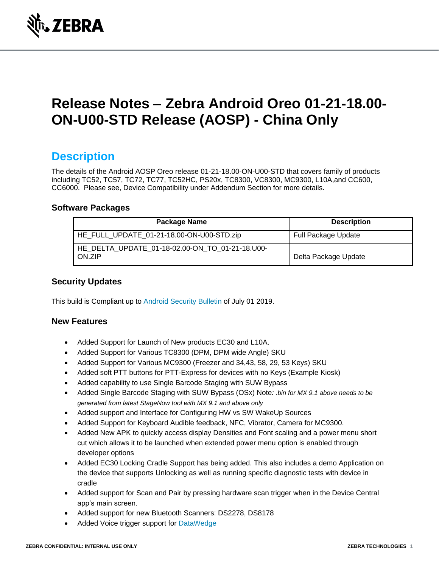

# **Release Notes – Zebra Android Oreo 01-21-18.00- ON-U00-STD Release (AOSP) - China Only**

### **Description**

The details of the Android AOSP Oreo release 01-21-18.00-ON-U00-STD that covers family of products including TC52, TC57, TC72, TC77, TC52HC, PS20x, TC8300, VC8300, MC9300, L10A,and CC600, CC6000. Please see, Device Compatibility under Addendum Section for more details.

#### **Software Packages**

| Package Name                                              | <b>Description</b>         |
|-----------------------------------------------------------|----------------------------|
| HE_FULL_UPDATE_01-21-18.00-ON-U00-STD.zip                 | <b>Full Package Update</b> |
| HE DELTA UPDATE 01-18-02.00-ON TO 01-21-18.U00-<br>ON.ZIP | Delta Package Update       |

#### **Security Updates**

This build is Compliant up to [Android Security Bulletin](https://source.android.com/security/bulletin/) of July 01 2019.

#### **New Features**

- Added Support for Launch of New products EC30 and L10A.
- Added Support for Various TC8300 (DPM, DPM wide Angle) SKU
- Added Support for Various MC9300 (Freezer and 34,43, 58, 29, 53 Keys) SKU
- Added soft PTT buttons for PTT-Express for devices with no Keys (Example Kiosk)
- Added capability to use Single Barcode Staging with SUW Bypass
- Added Single Barcode Staging with SUW Bypass (OSx) Note*: .bin for MX 9.1 above needs to be generated from latest StageNow tool with MX 9.1 and above only*
- Added support and Interface for Configuring HW vs SW WakeUp Sources
- Added Support for Keyboard Audible feedback, NFC, Vibrator, Camera for MC9300.
- Added New APK to quickly access display Densities and Font scaling and a power menu short cut which allows it to be launched when extended power menu option is enabled through developer options
- Added EC30 Locking Cradle Support has being added. This also includes a demo Application on the device that supports Unlocking as well as running specific diagnostic tests with device in cradle
- Added support for Scan and Pair by pressing hardware scan trigger when in the Device Central app's main screen.
- Added support for new Bluetooth Scanners: DS2278, DS8178
- Added Voice trigger support for [DataWedge](https://www.zebra.com/us/en/support-downloads/software.html)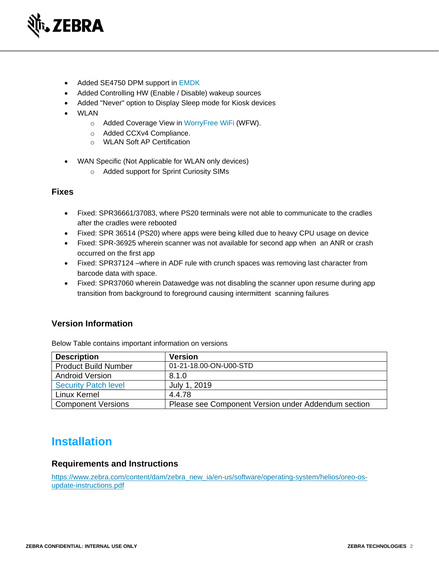

- Added SE4750 DPM support in [EMDK](https://www.zebra.com/us/en/support-downloads/software/developer-tools/emdk-for-android.html)
- Added Controlling HW (Enable / Disable) wakeup sources
- Added "Never" option to Display Sleep mode for Kiosk devices
- WLAN
	- o Added Coverage View in [WorryFree WiFi](https://www.zebra.com/us/en/support-downloads/software/productivity-apps/worryfree-wifi.html) (WFW).
	- o Added CCXv4 Compliance.
	- o WLAN Soft AP Certification
- WAN Specific (Not Applicable for WLAN only devices)
	- o Added support for Sprint Curiosity SIMs

#### **Fixes**

- Fixed: SPR36661/37083, where PS20 terminals were not able to communicate to the cradles after the cradles were rebooted
- Fixed: SPR 36514 (PS20) where apps were being killed due to heavy CPU usage on device
- Fixed: SPR-36925 wherein scanner was not available for second app when an ANR or crash occurred on the first app
- Fixed: SPR37124 –where in ADF rule with crunch spaces was removing last character from barcode data with space.
- Fixed: SPR37060 wherein Datawedge was not disabling the scanner upon resume during app transition from background to foreground causing intermittent scanning failures

#### **Version Information**

| <b>Description</b>          | <b>Version</b>                                      |
|-----------------------------|-----------------------------------------------------|
| <b>Product Build Number</b> | 01-21-18.00-ON-U00-STD                              |
| <b>Android Version</b>      | 8.1.0                                               |
| <b>Security Patch level</b> | July 1, 2019                                        |
| Linux Kernel                | 4.4.78                                              |
| <b>Component Versions</b>   | Please see Component Version under Addendum section |

Below Table contains important information on versions

### **Installation**

#### **Requirements and Instructions**

[https://www.zebra.com/content/dam/zebra\\_new\\_ia/en-us/software/operating-system/helios/oreo-os](https://www.zebra.com/content/dam/zebra_new_ia/en-us/software/operating-system/helios/oreo-os-update-instructions.pdf)[update-instructions.pdf](https://www.zebra.com/content/dam/zebra_new_ia/en-us/software/operating-system/helios/oreo-os-update-instructions.pdf)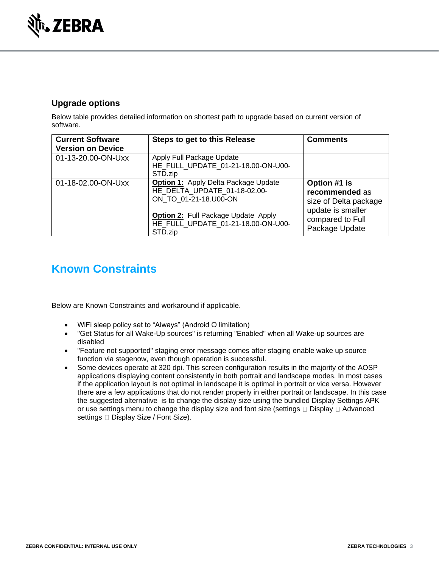

### **Upgrade options**

Below table provides detailed information on shortest path to upgrade based on current version of software.

| <b>Current Software</b><br><b>Version on Device</b> | Steps to get to this Release                                                                                                                                                                        | <b>Comments</b>                                                                                                    |
|-----------------------------------------------------|-----------------------------------------------------------------------------------------------------------------------------------------------------------------------------------------------------|--------------------------------------------------------------------------------------------------------------------|
| 01-13-20.00-ON-Uxx                                  | Apply Full Package Update<br>HE FULL UPDATE 01-21-18.00-ON-U00-<br>STD.zip                                                                                                                          |                                                                                                                    |
| 01-18-02.00-ON-Uxx                                  | <b>Option 1: Apply Delta Package Update</b><br>HE DELTA UPDATE 01-18-02.00-<br>ON TO_01-21-18.U00-ON<br><b>Option 2:</b> Full Package Update Apply<br>HE FULL UPDATE 01-21-18.00-ON-U00-<br>STD.zip | Option #1 is<br>recommended as<br>size of Delta package<br>update is smaller<br>compared to Full<br>Package Update |

## **Known Constraints**

Below are Known Constraints and workaround if applicable.

- WiFi sleep policy set to "Always" (Android O limitation)
- "Get Status for all Wake-Up sources" is returning "Enabled" when all Wake-up sources are disabled
- "Feature not supported" staging error message comes after staging enable wake up source function via stagenow, even though operation is successful.
- Some devices operate at 320 dpi. This screen configuration results in the majority of the AOSP applications displaying content consistently in both portrait and landscape modes. In most cases if the application layout is not optimal in landscape it is optimal in portrait or vice versa. However there are a few applications that do not render properly in either portrait or landscape. In this case the suggested alternative is to change the display size using the bundled Display Settings APK or use settings menu to change the display size and font size (settings  $\Box$  Display  $\Box$  Advanced settings  $\square$  Display Size / Font Size).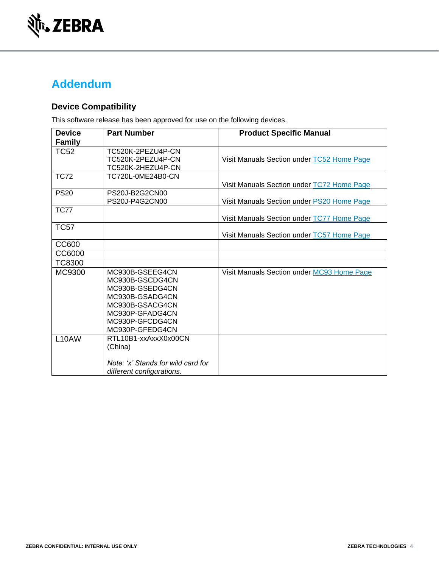

## **Addendum**

### **Device Compatibility**

This software release has been approved for use on the following devices.

| <b>Device</b>      | <b>Part Number</b>                                                                                                                                   | <b>Product Specific Manual</b>             |
|--------------------|------------------------------------------------------------------------------------------------------------------------------------------------------|--------------------------------------------|
| <b>Family</b>      |                                                                                                                                                      |                                            |
| <b>TC52</b>        | TC520K-2PEZU4P-CN<br>TC520K-2PEZU4P-CN<br>TC520K-2HEZU4P-CN                                                                                          | Visit Manuals Section under TC52 Home Page |
| <b>TC72</b>        | TC720L-0ME24B0-CN                                                                                                                                    | Visit Manuals Section under TC72 Home Page |
| <b>PS20</b>        | PS20J-B2G2CN00<br>PS20J-P4G2CN00                                                                                                                     | Visit Manuals Section under PS20 Home Page |
| <b>TC77</b>        |                                                                                                                                                      | Visit Manuals Section under TC77 Home Page |
| <b>TC57</b>        |                                                                                                                                                      | Visit Manuals Section under TC57 Home Page |
| CC600              |                                                                                                                                                      |                                            |
| CC6000             |                                                                                                                                                      |                                            |
| <b>TC8300</b>      |                                                                                                                                                      |                                            |
| MC9300             | MC930B-GSEEG4CN<br>MC930B-GSCDG4CN<br>MC930B-GSEDG4CN<br>MC930B-GSADG4CN<br>MC930B-GSACG4CN<br>MC930P-GFADG4CN<br>MC930P-GFCDG4CN<br>MC930P-GFEDG4CN | Visit Manuals Section under MC93 Home Page |
| L <sub>10</sub> AW | RTL10B1-xxAxxX0x00CN<br>(China)<br>Note: 'x' Stands for wild card for<br>different configurations.                                                   |                                            |